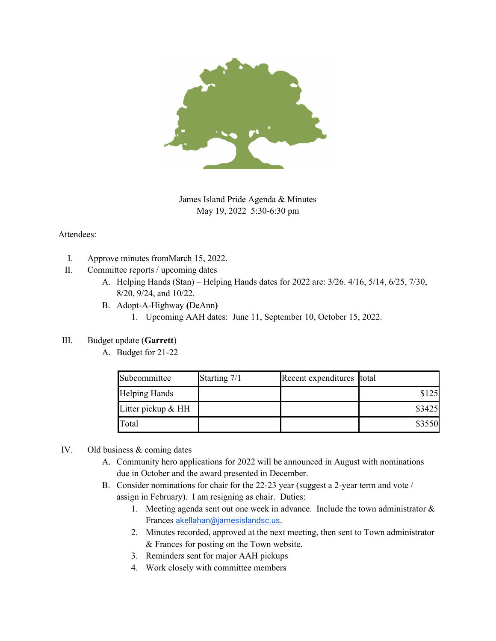

James Island Pride Agenda & Minutes May 19, 2022 5:30-6:30 pm

## Attendees:

- I. Approve minutes fromMarch 15, 2022.
- II. Committee reports / upcoming dates
	- A. Helping Hands (Stan) Helping Hands dates for 2022 are: 3/26. 4/16, 5/14, 6/25, 7/30, 8/20, 9/24, and 10/22.
	- B. Adopt-A-Highway **(**DeAnn**)**
		- 1. Upcoming AAH dates: June 11, September 10, October 15, 2022.

## III. Budget update (**Garrett**)

A. Budget for 21-22

| Subcommittee         | Starting 7/1 | Recent expenditures total |        |
|----------------------|--------------|---------------------------|--------|
| <b>Helping Hands</b> |              |                           | \$125  |
| Litter pickup $&HH$  |              |                           | \$3425 |
| Total                |              |                           | \$3550 |

- IV. Old business & coming dates
	- A. Community hero applications for 2022 will be announced in August with nominations due in October and the award presented in December.
	- B. Consider nominations for chair for the 22-23 year (suggest a 2-year term and vote / assign in February). I am resigning as chair. Duties:
		- 1. Meeting agenda sent out one week in advance. Include the town administrator  $\&$ Frances [akellahan@jamesislandsc.us](mailto:akellahan@jamesislandsc.us).
		- 2. Minutes recorded, approved at the next meeting, then sent to Town administrator & Frances for posting on the Town website.
		- 3. Reminders sent for major AAH pickups
		- 4. Work closely with committee members